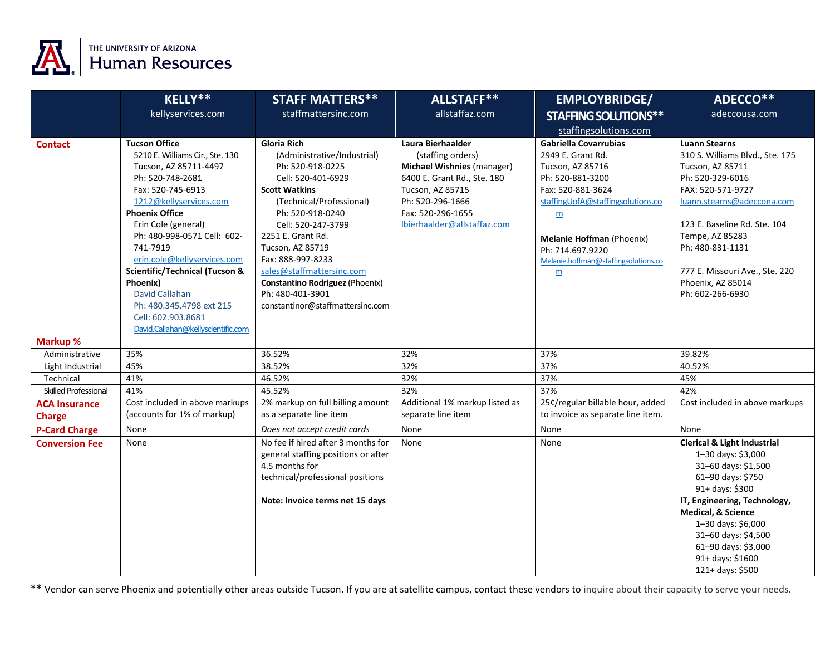

|                             | <b>KELLY**</b>                                                                                                                                                                                                                                                                                                                                                                                                                        | <b>STAFF MATTERS**</b>                                                                                                                                                                                                                                                                                                                                                   | ALLSTAFF**                                                                                                                                                                                             | <b>EMPLOYBRIDGE/</b>                                                                                                                                                                                                                                                        | ADECCO**                                                                                                                                                                                                                                                                                             |
|-----------------------------|---------------------------------------------------------------------------------------------------------------------------------------------------------------------------------------------------------------------------------------------------------------------------------------------------------------------------------------------------------------------------------------------------------------------------------------|--------------------------------------------------------------------------------------------------------------------------------------------------------------------------------------------------------------------------------------------------------------------------------------------------------------------------------------------------------------------------|--------------------------------------------------------------------------------------------------------------------------------------------------------------------------------------------------------|-----------------------------------------------------------------------------------------------------------------------------------------------------------------------------------------------------------------------------------------------------------------------------|------------------------------------------------------------------------------------------------------------------------------------------------------------------------------------------------------------------------------------------------------------------------------------------------------|
|                             | kellyservices.com                                                                                                                                                                                                                                                                                                                                                                                                                     | staffmattersinc.com                                                                                                                                                                                                                                                                                                                                                      | allstaffaz.com                                                                                                                                                                                         | <b>STAFFING SOLUTIONS**</b>                                                                                                                                                                                                                                                 | adeccousa.com                                                                                                                                                                                                                                                                                        |
|                             |                                                                                                                                                                                                                                                                                                                                                                                                                                       |                                                                                                                                                                                                                                                                                                                                                                          |                                                                                                                                                                                                        | staffingsolutions.com                                                                                                                                                                                                                                                       |                                                                                                                                                                                                                                                                                                      |
| <b>Contact</b>              | <b>Tucson Office</b><br>5210 E. Williams Cir., Ste. 130<br>Tucson, AZ 85711-4497<br>Ph: 520-748-2681<br>Fax: 520-745-6913<br>1212@kellyservices.com<br><b>Phoenix Office</b><br>Erin Cole (general)<br>Ph: 480-998-0571 Cell: 602-<br>741-7919<br>erin.cole@kellyservices.com<br>Scientific/Technical (Tucson &<br>Phoenix)<br>David Callahan<br>Ph: 480.345.4798 ext 215<br>Cell: 602.903.8681<br>David.Callahan@kellyscientific.com | Gloria Rich<br>(Administrative/Industrial)<br>Ph: 520-918-0225<br>Cell: 520-401-6929<br><b>Scott Watkins</b><br>(Technical/Professional)<br>Ph: 520-918-0240<br>Cell: 520-247-3799<br>2251 E. Grant Rd.<br>Tucson, AZ 85719<br>Fax: 888-997-8233<br>sales@staffmattersinc.com<br>Constantino Rodriguez (Phoenix)<br>Ph: 480-401-3901<br>constantinor@staffmattersinc.com | Laura Bierhaalder<br>(staffing orders)<br><b>Michael Wishnies (manager)</b><br>6400 E. Grant Rd., Ste. 180<br>Tucson, AZ 85715<br>Ph: 520-296-1666<br>Fax: 520-296-1655<br>lbierhaalder@allstaffaz.com | Gabriella Covarrubias<br>2949 E. Grant Rd.<br>Tucson, AZ 85716<br>Ph: 520-881-3200<br>Fax: 520-881-3624<br>staffingUofA@staffingsolutions.co<br>$\underline{m}$<br>Melanie Hoffman (Phoenix)<br>Ph: 714.697.9220<br>Melanie.hoffman@staffingsolutions.co<br>$\underline{m}$ | <b>Luann Stearns</b><br>310 S. Williams Blvd., Ste. 175<br>Tucson, AZ 85711<br>Ph: 520-329-6016<br>FAX: 520-571-9727<br>luann.stearns@adeccona.com<br>123 E. Baseline Rd. Ste. 104<br>Tempe, AZ 85283<br>Ph: 480-831-1131<br>777 E. Missouri Ave., Ste. 220<br>Phoenix, AZ 85014<br>Ph: 602-266-6930 |
| Markup %                    |                                                                                                                                                                                                                                                                                                                                                                                                                                       |                                                                                                                                                                                                                                                                                                                                                                          |                                                                                                                                                                                                        |                                                                                                                                                                                                                                                                             |                                                                                                                                                                                                                                                                                                      |
| Administrative              | 35%                                                                                                                                                                                                                                                                                                                                                                                                                                   | 36.52%                                                                                                                                                                                                                                                                                                                                                                   | 32%                                                                                                                                                                                                    | 37%                                                                                                                                                                                                                                                                         | 39.82%                                                                                                                                                                                                                                                                                               |
| Light Industrial            | 45%                                                                                                                                                                                                                                                                                                                                                                                                                                   | 38.52%                                                                                                                                                                                                                                                                                                                                                                   | 32%                                                                                                                                                                                                    | 37%                                                                                                                                                                                                                                                                         | 40.52%                                                                                                                                                                                                                                                                                               |
| Technical                   | 41%                                                                                                                                                                                                                                                                                                                                                                                                                                   | 46.52%                                                                                                                                                                                                                                                                                                                                                                   | 32%                                                                                                                                                                                                    | 37%                                                                                                                                                                                                                                                                         | 45%                                                                                                                                                                                                                                                                                                  |
| <b>Skilled Professional</b> | 41%                                                                                                                                                                                                                                                                                                                                                                                                                                   | 45.52%                                                                                                                                                                                                                                                                                                                                                                   | 32%                                                                                                                                                                                                    | 37%                                                                                                                                                                                                                                                                         | 42%                                                                                                                                                                                                                                                                                                  |
| <b>ACA Insurance</b>        | Cost included in above markups                                                                                                                                                                                                                                                                                                                                                                                                        | 2% markup on full billing amount                                                                                                                                                                                                                                                                                                                                         | Additional 1% markup listed as                                                                                                                                                                         | 25¢/regular billable hour, added                                                                                                                                                                                                                                            | Cost included in above markups                                                                                                                                                                                                                                                                       |
| <b>Charge</b>               | (accounts for 1% of markup)                                                                                                                                                                                                                                                                                                                                                                                                           | as a separate line item                                                                                                                                                                                                                                                                                                                                                  | separate line item                                                                                                                                                                                     | to invoice as separate line item.                                                                                                                                                                                                                                           |                                                                                                                                                                                                                                                                                                      |
| <b>P-Card Charge</b>        | None                                                                                                                                                                                                                                                                                                                                                                                                                                  | Does not accept credit cards                                                                                                                                                                                                                                                                                                                                             | None                                                                                                                                                                                                   | None                                                                                                                                                                                                                                                                        | None                                                                                                                                                                                                                                                                                                 |
| <b>Conversion Fee</b>       | None                                                                                                                                                                                                                                                                                                                                                                                                                                  | No fee if hired after 3 months for<br>general staffing positions or after<br>4.5 months for<br>technical/professional positions<br>Note: Invoice terms net 15 days                                                                                                                                                                                                       | None                                                                                                                                                                                                   | None                                                                                                                                                                                                                                                                        | <b>Clerical &amp; Light Industrial</b><br>1-30 days: \$3,000<br>31-60 days: \$1,500<br>61-90 days: \$750<br>91+ days: \$300<br>IT, Engineering, Technology,<br>Medical, & Science<br>1-30 days: \$6,000<br>31-60 days: \$4,500<br>61-90 days: \$3,000<br>91+ days: \$1600<br>121+ days: \$500        |

\*\* Vendor can serve Phoenix and potentially other areas outside Tucson. If you are at satellite campus, contact these vendors to inquire about their capacity to serve your needs.